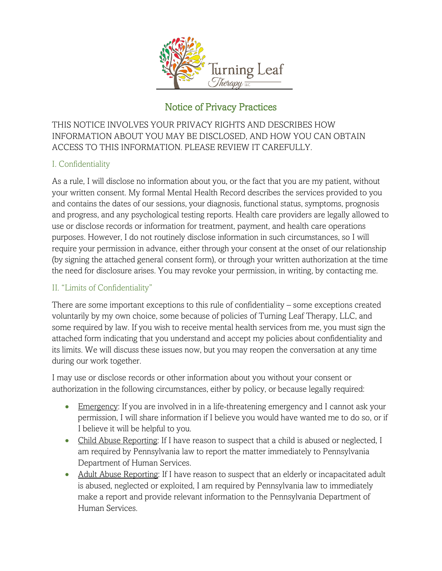

# Notice of Privacy Practices

THIS NOTICE INVOLVES YOUR PRIVACY RIGHTS AND DESCRIBES HOW INFORMATION ABOUT YOU MAY BE DISCLOSED, AND HOW YOU CAN OBTAIN ACCESS TO THIS INFORMATION. PLEASE REVIEW IT CAREFULLY.

# I. Confidentiality

As a rule, I will disclose no information about you, or the fact that you are my patient, without your written consent. My formal Mental Health Record describes the services provided to you and contains the dates of our sessions, your diagnosis, functional status, symptoms, prognosis and progress, and any psychological testing reports. Health care providers are legally allowed to use or disclose records or information for treatment, payment, and health care operations purposes. However, I do not routinely disclose information in such circumstances, so I will require your permission in advance, either through your consent at the onset of our relationship (by signing the attached general consent form), or through your written authorization at the time the need for disclosure arises. You may revoke your permission, in writing, by contacting me.

### II. "Limits of Confidentiality"

There are some important exceptions to this rule of confidentiality – some exceptions created voluntarily by my own choice, some because of policies of Turning Leaf Therapy, LLC, and some required by law. If you wish to receive mental health services from me, you must sign the attached form indicating that you understand and accept my policies about confidentiality and its limits. We will discuss these issues now, but you may reopen the conversation at any time during our work together.

I may use or disclose records or other information about you without your consent or authorization in the following circumstances, either by policy, or because legally required:

- Emergency: If you are involved in in a life-threatening emergency and I cannot ask your permission, I will share information if I believe you would have wanted me to do so, or if I believe it will be helpful to you.
- Child Abuse Reporting: If I have reason to suspect that a child is abused or neglected, I am required by Pennsylvania law to report the matter immediately to Pennsylvania Department of Human Services.
- Adult Abuse Reporting: If I have reason to suspect that an elderly or incapacitated adult is abused, neglected or exploited, I am required by Pennsylvania law to immediately make a report and provide relevant information to the Pennsylvania Department of Human Services.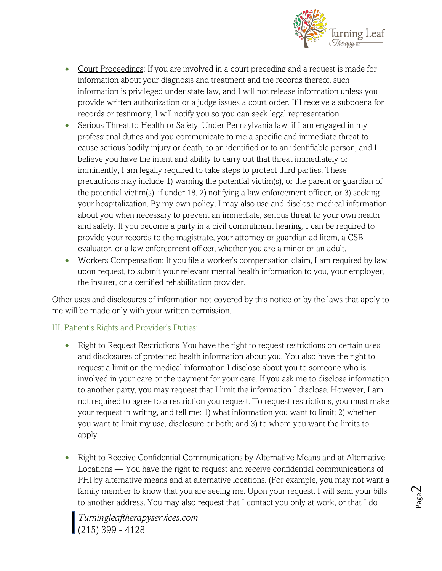

- Court Proceedings: If you are involved in a court preceding and a request is made for information about your diagnosis and treatment and the records thereof, such information is privileged under state law, and I will not release information unless you provide written authorization or a judge issues a court order. If I receive a subpoena for records or testimony, I will notify you so you can seek legal representation.
- Serious Threat to Health or Safety: Under Pennsylvania law, if I am engaged in my professional duties and you communicate to me a specific and immediate threat to cause serious bodily injury or death, to an identified or to an identifiable person, and I believe you have the intent and ability to carry out that threat immediately or imminently, I am legally required to take steps to protect third parties. These precautions may include 1) warning the potential victim(s), or the parent or guardian of the potential victim(s), if under 18, 2) notifying a law enforcement officer, or 3) seeking your hospitalization. By my own policy, I may also use and disclose medical information about you when necessary to prevent an immediate, serious threat to your own health and safety. If you become a party in a civil commitment hearing, I can be required to provide your records to the magistrate, your attorney or guardian ad litem, a CSB evaluator, or a law enforcement officer, whether you are a minor or an adult.
- Workers Compensation: If you file a worker's compensation claim, I am required by law, upon request, to submit your relevant mental health information to you, your employer, the insurer, or a certified rehabilitation provider.

Other uses and disclosures of information not covered by this notice or by the laws that apply to me will be made only with your written permission.

### III. Patient's Rights and Provider's Duties:

- Right to Request Restrictions-You have the right to request restrictions on certain uses and disclosures of protected health information about you. You also have the right to request a limit on the medical information I disclose about you to someone who is involved in your care or the payment for your care. If you ask me to disclose information to another party, you may request that I limit the information I disclose. However, I am not required to agree to a restriction you request. To request restrictions, you must make your request in writing, and tell me: 1) what information you want to limit; 2) whether you want to limit my use, disclosure or both; and 3) to whom you want the limits to apply.
- Right to Receive Confidential Communications by Alternative Means and at Alternative Locations — You have the right to request and receive confidential communications of PHI by alternative means and at alternative locations. (For example, you may not want a family member to know that you are seeing me. Upon your request, I will send your bills to another address. You may also request that I contact you only at work, or that I do

*Turningleaftherapyservices.com*  (215) 399 - 4128

Page  $\mathrel{\sim}$